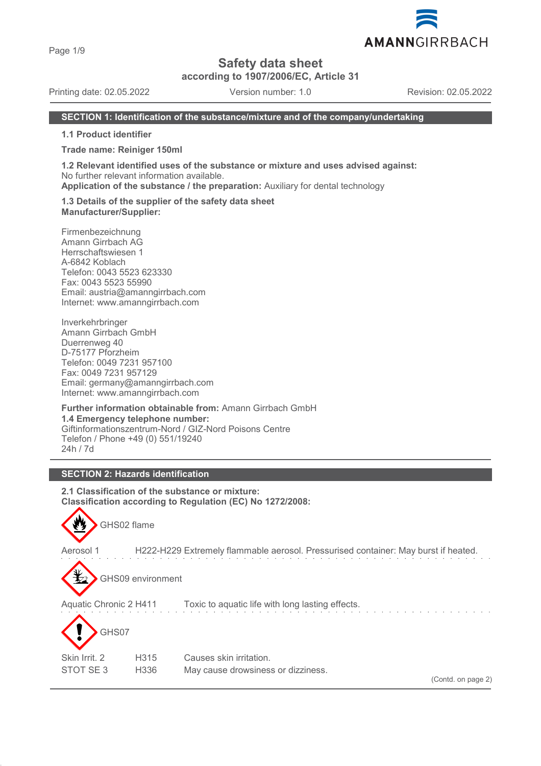Page 1/9

# **Safety data sheet**

**according to 1907/2006/EC, Article 31**

Printing date: 02.05.2022 Version number: 1.0 Revision: 02.05.2022

#### **SECTION 1: Identification of the substance/mixture and of the company/undertaking**

**1.1 Product identifier**

**Trade name: Reiniger 150ml**

**1.2 Relevant identified uses of the substance or mixture and uses advised against:** No further relevant information available.

**Application of the substance / the preparation:** Auxiliary for dental technology

**1.3 Details of the supplier of the safety data sheet Manufacturer/Supplier:**

Firmenbezeichnung Amann Girrbach AG Herrschaftswiesen 1 A-6842 Koblach Telefon: 0043 5523 623330 Fax: 0043 5523 55990 Email: austria@amanngirrbach.com Internet: www.amanngirrbach.com

Inverkehrbringer Amann Girrbach GmbH Duerrenweg 40 D-75177 Pforzheim Telefon: 0049 7231 957100 Fax: 0049 7231 957129 Email: germany@amanngirrbach.com Internet: www.amanngirrbach.com

**Further information obtainable from:** Amann Girrbach GmbH **1.4 Emergency telephone number:** Giftinformationszentrum-Nord / GIZ-Nord Poisons Centre Telefon / Phone +49 (0) 551/19240 24h / 7d

# **SECTION 2: Hazards identification**

**2.1 Classification of the substance or mixture: Classification according to Regulation (EC) No 1272/2008:**



Aerosol 1 H222-H229 Extremely flammable aerosol. Pressurised container: May burst if heated.



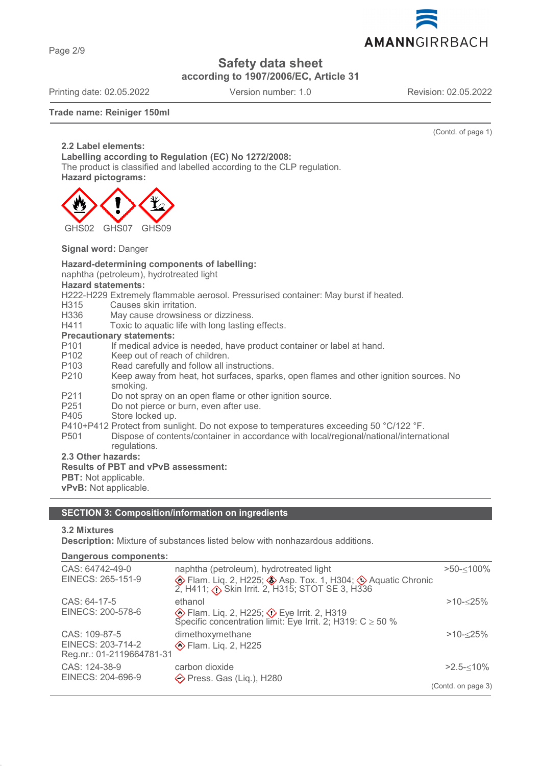

**Safety data sheet**

**according to 1907/2006/EC, Article 31**

Printing date: 02.05.2022 Version number: 1.0 Revision: 02.05.2022

#### **Trade name: Reiniger 150ml**

(Contd. of page 1)

**2.2 Label elements: Labelling according to Regulation (EC) No 1272/2008:** The product is classified and labelled according to the CLP regulation. **Hazard pictograms:**



**Signal word:** Danger

### **Hazard-determining components of labelling:**

naphtha (petroleum), hydrotreated light

**Hazard statements:**

H222-H229 Extremely flammable aerosol. Pressurised container: May burst if heated.<br>H315 Causes skin irritation.

- Causes skin irritation.
- H336 May cause drowsiness or dizziness.<br>H411 Toxic to aquatic life with long lasting
- Toxic to aquatic life with long lasting effects.

#### **Precautionary statements:**

- P101 If medical advice is needed, have product container or label at hand.<br>P102 Keep out of reach of children
- P102 Keep out of reach of children.<br>P103 Read carefully and follow all in
- Read carefully and follow all instructions.
- P210 Keep away from heat, hot surfaces, sparks, open flames and other ignition sources. No smoking.
- P211 Do not spray on an open flame or other ignition source.
- P251 Do not pierce or burn, even after use.
- P405 Store locked up.
- P410+P412 Protect from sunlight. Do not expose to temperatures exceeding 50 °C/122 °F.
- P501 Dispose of contents/container in accordance with local/regional/national/international regulations.

**2.3 Other hazards:**

#### **Results of PBT and vPvB assessment:**

**PBT:** Not applicable.

**vPvB:** Not applicable.

#### **SECTION 3: Composition/information on ingredients**

#### **3.2 Mixtures**

**Description:** Mixture of substances listed below with nonhazardous additions.

**Dangerous components:** 

| CAS: 64742-49-0           | naphtha (petroleum), hydrotreated light                                                                             | $>50 - 100\%$      |
|---------------------------|---------------------------------------------------------------------------------------------------------------------|--------------------|
| EINECS: 265-151-9         | <b>♦</b> Flam. Liq. 2, H225; ♦ Asp. Tox. 1, H304; ♦ Aquatic Chronic 2, H411; ♦ Skin Irrit. 2, H315; STOT SE 3, H336 |                    |
| CAS: 64-17-5              | ethanol                                                                                                             | $>10 - 25%$        |
| EINECS: 200-578-6         | Eye Irrit. 2, H225; 2> Eye Irrit. 2, H319<br>Specific concentration limit: Eye Irrit. 2; H319: $C \ge 50$ %         |                    |
| CAS: 109-87-5             | dimethoxymethane                                                                                                    | $>10 - 25%$        |
| EINECS: 203-714-2         | <b>♦ Flam. Lig. 2, H225</b>                                                                                         |                    |
| Reg.nr.: 01-2119664781-31 |                                                                                                                     |                    |
| CAS: 124-38-9             | carbon dioxide                                                                                                      | $>2.5 - 10\%$      |
| EINECS: 204-696-9         | $\diamond$ Press. Gas (Lig.), H280                                                                                  |                    |
|                           |                                                                                                                     | (Contd. on page 3) |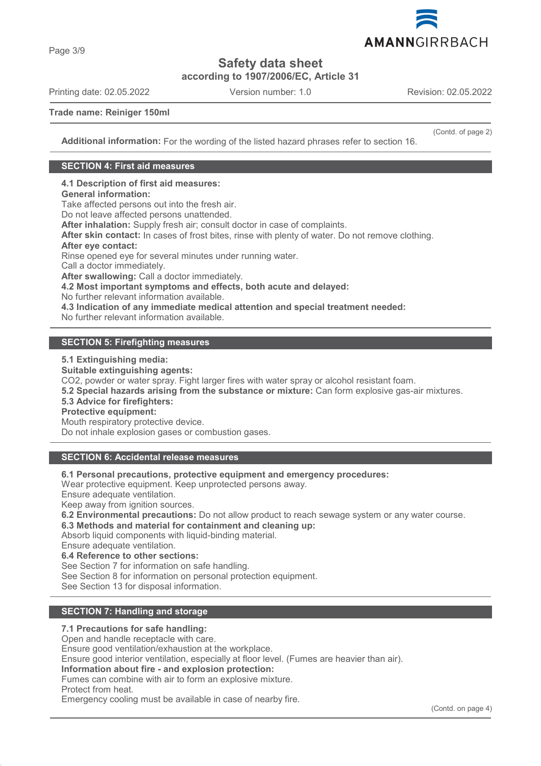

**Safety data sheet**

**according to 1907/2006/EC, Article 31**

Printing date: 02.05.2022 Version number: 1.0 Revision: 02.05.2022

Page 3/9

(Contd. of page 2)

**Trade name: Reiniger 150ml**

**Additional information:** For the wording of the listed hazard phrases refer to section 16.

### **SECTION 4: First aid measures**

**4.1 Description of first aid measures:**

#### **General information:**

Take affected persons out into the fresh air.

Do not leave affected persons unattended.

**After inhalation:** Supply fresh air; consult doctor in case of complaints.

**After skin contact:** In cases of frost bites, rinse with plenty of water. Do not remove clothing.

#### **After eye contact:**

Rinse opened eye for several minutes under running water.

Call a doctor immediately.

**After swallowing:** Call a doctor immediately.

**4.2 Most important symptoms and effects, both acute and delayed:**

No further relevant information available.

**4.3 Indication of any immediate medical attention and special treatment needed:**

No further relevant information available.

### **SECTION 5: Firefighting measures**

**5.1 Extinguishing media:**

**Suitable extinguishing agents:**

CO2, powder or water spray. Fight larger fires with water spray or alcohol resistant foam.

**5.2 Special hazards arising from the substance or mixture:** Can form explosive gas-air mixtures.

#### **5.3 Advice for firefighters:**

**Protective equipment:**

Mouth respiratory protective device.

Do not inhale explosion gases or combustion gases.

# **SECTION 6: Accidental release measures**

**6.1 Personal precautions, protective equipment and emergency procedures:**

Wear protective equipment. Keep unprotected persons away.

Ensure adequate ventilation.

Keep away from ignition sources.

**6.2 Environmental precautions:** Do not allow product to reach sewage system or any water course.

**6.3 Methods and material for containment and cleaning up:**

Absorb liquid components with liquid-binding material.

Ensure adequate ventilation.

**6.4 Reference to other sections:**

See Section 7 for information on safe handling.

See Section 8 for information on personal protection equipment.

See Section 13 for disposal information.

# **SECTION 7: Handling and storage**

#### **7.1 Precautions for safe handling:**

Open and handle receptacle with care.

Ensure good ventilation/exhaustion at the workplace.

Ensure good interior ventilation, especially at floor level. (Fumes are heavier than air).

**Information about fire - and explosion protection:**

Fumes can combine with air to form an explosive mixture.

Protect from heat.

Emergency cooling must be available in case of nearby fire.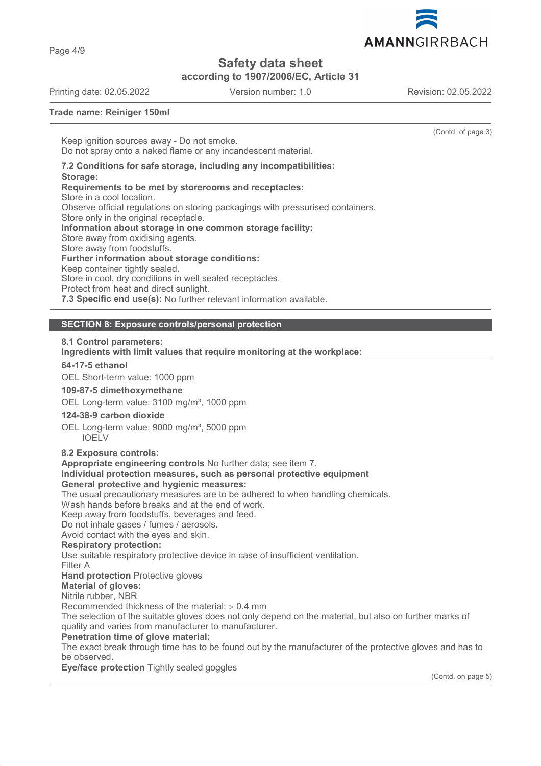

Page 4/9

# **Safety data sheet**

**according to 1907/2006/EC, Article 31**

Printing date: 02.05.2022 Version number: 1.0 Revision: 02.05.2022

(Contd. of page 3)

**Trade name: Reiniger 150ml**

Keep ignition sources away - Do not smoke. Do not spray onto a naked flame or any incandescent material.

**7.2 Conditions for safe storage, including any incompatibilities: Storage: Requirements to be met by storerooms and receptacles:** Store in a cool location. Observe official regulations on storing packagings with pressurised containers. Store only in the original receptacle. **Information about storage in one common storage facility:** Store away from oxidising agents. Store away from foodstuffs. **Further information about storage conditions:** Keep container tightly sealed. Store in cool, dry conditions in well sealed receptacles. Protect from heat and direct sunlight. **7.3 Specific end use(s):** No further relevant information available.

# **SECTION 8: Exposure controls/personal protection**

#### **8.1 Control parameters:**

**Ingredients with limit values that require monitoring at the workplace:** 

# **64-17-5 ethanol**

OEL Short-term value: 1000 ppm

#### **109-87-5 dimethoxymethane**

OEL Long-term value: 3100 mg/m<sup>3</sup>, 1000 ppm

# **124-38-9 carbon dioxide**

OEL Long-term value: 9000 mg/m<sup>3</sup>, 5000 ppm IOELV

#### **8.2 Exposure controls:**

**Appropriate engineering controls** No further data; see item 7.

#### **Individual protection measures, such as personal protective equipment**

#### **General protective and hygienic measures:**

The usual precautionary measures are to be adhered to when handling chemicals.

Wash hands before breaks and at the end of work.

Keep away from foodstuffs, beverages and feed.

Do not inhale gases / fumes / aerosols.

Avoid contact with the eyes and skin.

# **Respiratory protection:**

Use suitable respiratory protective device in case of insufficient ventilation.

Filter A

**Hand protection** Protective gloves

**Material of gloves:**

Nitrile rubber, NBR

Recommended thickness of the material:  $\geq 0.4$  mm

The selection of the suitable gloves does not only depend on the material, but also on further marks of quality and varies from manufacturer to manufacturer.

**Penetration time of glove material:**

The exact break through time has to be found out by the manufacturer of the protective gloves and has to be observed.

**Eye/face protection** Tightly sealed goggles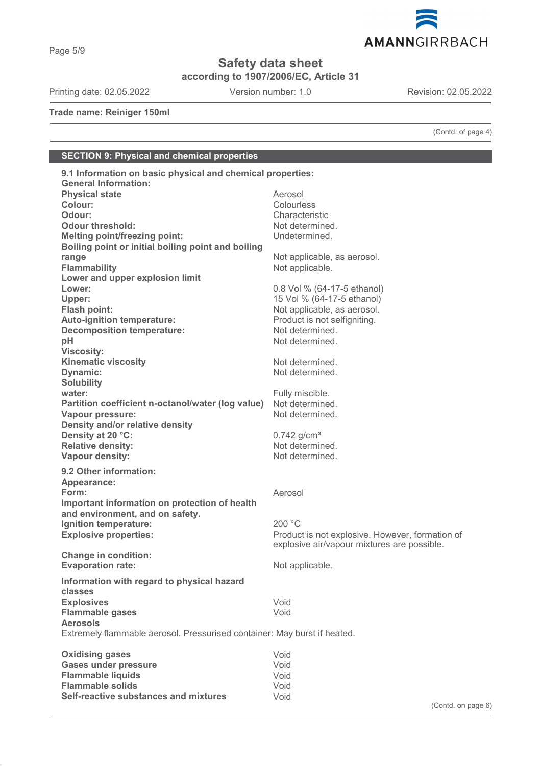

**Safety data sheet**

**according to 1907/2006/EC, Article 31**

Printing date: 02.05.2022 Version number: 1.0 Revision: 02.05.2022

Page 5/9

**Trade name: Reiniger 150ml**

(Contd. of page 4)

# **SECTION 9: Physical and chemical properties**

| 9.1 Information on basic physical and chemical properties:               |                                                 |
|--------------------------------------------------------------------------|-------------------------------------------------|
| <b>General Information:</b>                                              |                                                 |
| <b>Physical state</b>                                                    | Aerosol                                         |
| Colour:                                                                  | Colourless                                      |
| Odour:                                                                   | Characteristic                                  |
| <b>Odour threshold:</b>                                                  | Not determined.                                 |
| <b>Melting point/freezing point:</b>                                     | Undetermined.                                   |
| Boiling point or initial boiling point and boiling                       |                                                 |
| range                                                                    | Not applicable, as aerosol.                     |
| <b>Flammability</b>                                                      | Not applicable.                                 |
| Lower and upper explosion limit                                          |                                                 |
| Lower:                                                                   | 0.8 Vol % (64-17-5 ethanol)                     |
| Upper:                                                                   | 15 Vol % (64-17-5 ethanol)                      |
| Flash point:                                                             | Not applicable, as aerosol.                     |
| <b>Auto-ignition temperature:</b>                                        | Product is not selfigniting.                    |
| <b>Decomposition temperature:</b>                                        | Not determined.                                 |
| pH                                                                       | Not determined.                                 |
| <b>Viscosity:</b>                                                        |                                                 |
| <b>Kinematic viscosity</b>                                               | Not determined.                                 |
| Dynamic:                                                                 | Not determined.                                 |
| <b>Solubility</b>                                                        |                                                 |
| water:                                                                   |                                                 |
| Partition coefficient n-octanol/water (log value)                        | Fully miscible.<br>Not determined.              |
|                                                                          | Not determined.                                 |
| Vapour pressure:                                                         |                                                 |
| Density and/or relative density                                          |                                                 |
| Density at 20 °C:                                                        | $0.742$ g/cm <sup>3</sup>                       |
| <b>Relative density:</b>                                                 | Not determined.                                 |
| Vapour density:                                                          | Not determined.                                 |
| 9.2 Other information:                                                   |                                                 |
| Appearance:                                                              |                                                 |
| Form:                                                                    | Aerosol                                         |
| Important information on protection of health                            |                                                 |
| and environment, and on safety.                                          |                                                 |
| Ignition temperature:                                                    | 200 °C                                          |
| <b>Explosive properties:</b>                                             | Product is not explosive. However, formation of |
|                                                                          | explosive air/vapour mixtures are possible.     |
| <b>Change in condition:</b>                                              |                                                 |
| <b>Evaporation rate:</b>                                                 | Not applicable.                                 |
|                                                                          |                                                 |
| Information with regard to physical hazard                               |                                                 |
| classes                                                                  |                                                 |
| <b>Explosives</b>                                                        | Void                                            |
| <b>Flammable gases</b>                                                   | Void                                            |
| <b>Aerosols</b>                                                          |                                                 |
| Extremely flammable aerosol. Pressurised container: May burst if heated. |                                                 |
|                                                                          |                                                 |
| <b>Oxidising gases</b>                                                   | Void                                            |
| <b>Gases under pressure</b>                                              | Void                                            |
| <b>Flammable liquids</b>                                                 | Void                                            |
| <b>Flammable solids</b>                                                  | Void                                            |
| Self-reactive substances and mixtures                                    | Void                                            |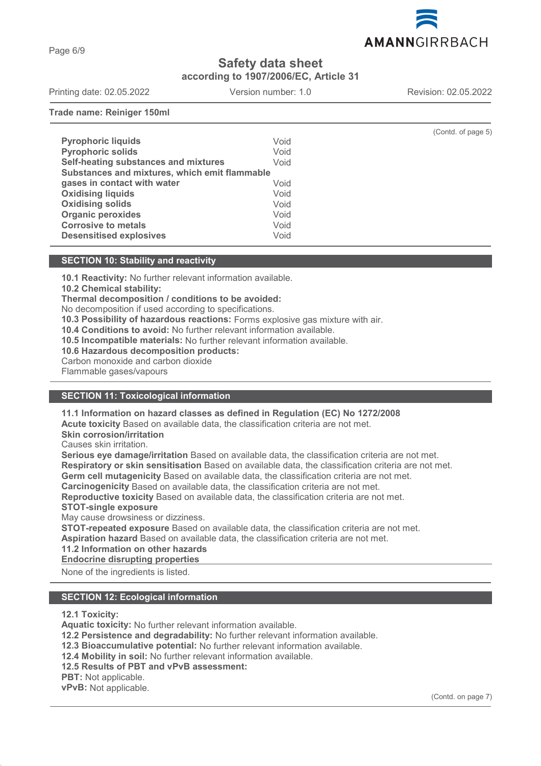

Page 6/9

# **Safety data sheet**

**according to 1907/2006/EC, Article 31**

Printing date: 02.05.2022 Version number: 1.0 Revision: 02.05.2022

**Trade name: Reiniger 150ml**

|                                               |      | (Contd. of page 5) |  |
|-----------------------------------------------|------|--------------------|--|
| <b>Pyrophoric liquids</b>                     | Void |                    |  |
| <b>Pyrophoric solids</b>                      | Void |                    |  |
| Self-heating substances and mixtures          | Void |                    |  |
| Substances and mixtures, which emit flammable |      |                    |  |
| gases in contact with water                   | Void |                    |  |
| <b>Oxidising liquids</b>                      | Void |                    |  |
| <b>Oxidising solids</b>                       | Void |                    |  |
| <b>Organic peroxides</b>                      | Void |                    |  |
| <b>Corrosive to metals</b>                    | Void |                    |  |
| <b>Desensitised explosives</b>                | Void |                    |  |

#### **SECTION 10: Stability and reactivity**

**10.1 Reactivity:** No further relevant information available.

**10.2 Chemical stability:**

**Thermal decomposition / conditions to be avoided:**

No decomposition if used according to specifications.

**10.3 Possibility of hazardous reactions:** Forms explosive gas mixture with air.

**10.4 Conditions to avoid:** No further relevant information available.

**10.5 Incompatible materials:** No further relevant information available.

**10.6 Hazardous decomposition products:**

Carbon monoxide and carbon dioxide

Flammable gases/vapours

# **SECTION 11: Toxicological information**

**11.1 Information on hazard classes as defined in Regulation (EC) No 1272/2008**

**Acute toxicity** Based on available data, the classification criteria are not met.

**Skin corrosion/irritation**

Causes skin irritation.

**Serious eye damage/irritation** Based on available data, the classification criteria are not met. **Respiratory or skin sensitisation** Based on available data, the classification criteria are not met. **Germ cell mutagenicity** Based on available data, the classification criteria are not met.

**Carcinogenicity** Based on available data, the classification criteria are not met.

**Reproductive toxicity** Based on available data, the classification criteria are not met.

**STOT-single exposure**

May cause drowsiness or dizziness.

**STOT-repeated exposure** Based on available data, the classification criteria are not met.

**Aspiration hazard** Based on available data, the classification criteria are not met.

**11.2 Information on other hazards**

**Endocrine disrupting properties** 

None of the ingredients is listed.

### **SECTION 12: Ecological information**

**12.1 Toxicity:**

**Aquatic toxicity:** No further relevant information available.

**12.2 Persistence and degradability:** No further relevant information available.

**12.3 Bioaccumulative potential:** No further relevant information available.

**12.4 Mobility in soil:** No further relevant information available.

**12.5 Results of PBT and vPvB assessment:**

**PBT:** Not applicable.

**vPvB:** Not applicable.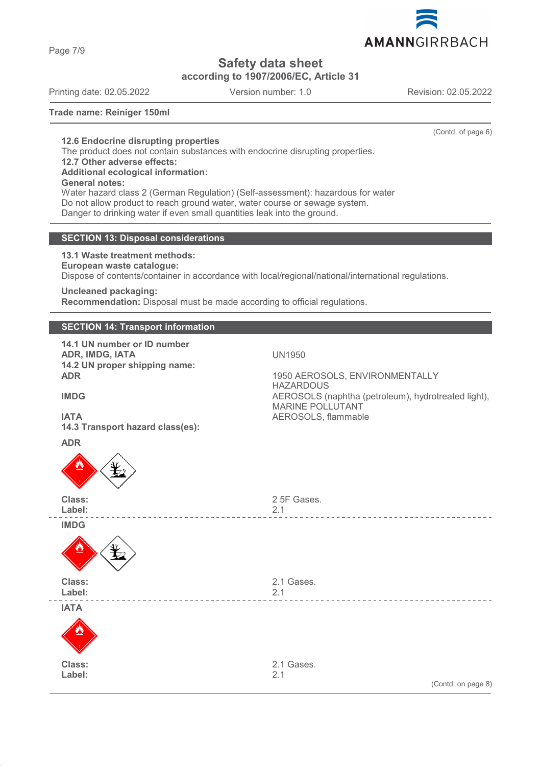Page 7/9

**Safety data sheet**

**according to 1907/2006/EC, Article 31**

Printing date: 02.05.2022 Version number: 1.0 Revision: 02.05.2022

(Contd. of page 6)

**Trade name: Reiniger 150ml**

**12.6 Endocrine disrupting properties** The product does not contain substances with endocrine disrupting properties.

**12.7 Other adverse effects:**

**Additional ecological information:**

**General notes:**

Water hazard class 2 (German Regulation) (Self-assessment): hazardous for water Do not allow product to reach ground water, water course or sewage system. Danger to drinking water if even small quantities leak into the ground.

# **SECTION 13: Disposal considerations**

**13.1 Waste treatment methods:**

**European waste catalogue:**

Dispose of contents/container in accordance with local/regional/national/international regulations.

**Uncleaned packaging:**

**Recommendation:** Disposal must be made according to official regulations.

# **SECTION 14: Transport information**

**14.1 UN number or ID number ADR, IMDG, IATA** UN1950 **14.2 UN proper shipping name:**

**ADR** 1950 AEROSOLS, ENVIRONMENTALLY **HAZARDOUS IMDG** AEROSOLS (naphtha (petroleum), hydrotreated light), MARINE POLLUTANT

**ADR**

**IATA** AEROSOLS, flammable **14.3 Transport hazard class(es):**



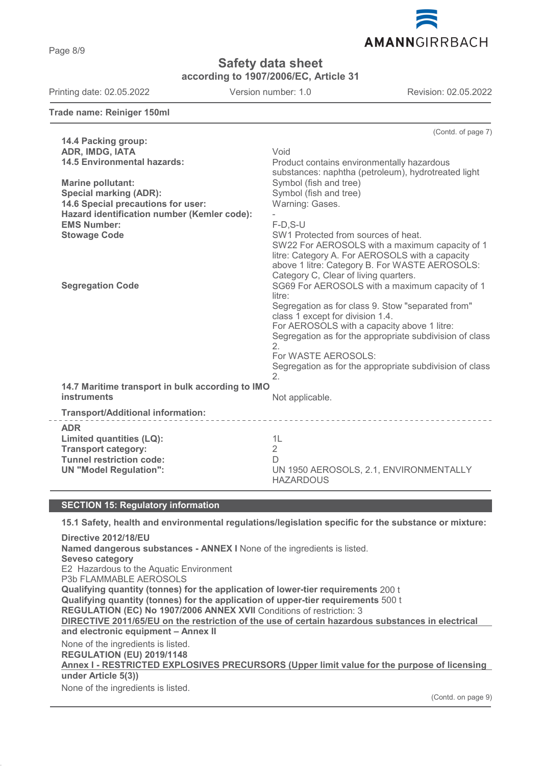Page 8/9

**Safety data sheet**

**according to 1907/2006/EC, Article 31**

Printing date: 02.05.2022 Version number: 1.0 Revision: 02.05.2022

**Trade name: Reiniger 150ml**

(Contd. of page 7) **14.4 Packing group: ADR, IMDG, IATA** Void **14.5 Environmental hazards:** Product contains environmentally hazardous substances: naphtha (petroleum), hydrotreated light **Marine pollutant:** Symbol (fish and tree) **Special marking (ADR):** Symbol (fish and tree)<br> **14.6 Special precautions for user:** Warning: Gases. **14.6 Special precautions for user: Hazard identification number (Kemler code):** - **EMS Number:** F-D,S-U **SW1 Protected from sources of heat.** SW22 For AEROSOLS with a maximum capacity of 1 litre: Category A. For AEROSOLS with a capacity above 1 litre: Category B. For WASTE AEROSOLS: Category C, Clear of living quarters. **Segregation Code** SG69 For AEROSOLS with a maximum capacity of 1 litre: Segregation as for class 9. Stow "separated from" class 1 except for division 1.4. For AEROSOLS with a capacity above 1 litre: Segregation as for the appropriate subdivision of class  $\mathcal{L}$ For WASTE AEROSOLS: Segregation as for the appropriate subdivision of class  $\mathcal{L}$ **14.7 Maritime transport in bulk according to IMO instruments** Not applicable. **Transport/Additional information: ADR Limited quantities (LQ):** 1L **Transport category:** 2 **Tunnel restriction code:** D **UN "Model Regulation":** UN 1950 AEROSOLS, 2.1, ENVIRONMENTALLY HAZARDOUS

#### **SECTION 15: Regulatory information**

**15.1 Safety, health and environmental regulations/legislation specific for the substance or mixture:**

**Directive 2012/18/EU Named dangerous substances - ANNEX I** None of the ingredients is listed. **Seveso category** E2 Hazardous to the Aquatic Environment P3b FLAMMABLE AEROSOLS **Qualifying quantity (tonnes) for the application of lower-tier requirements** 200 t **Qualifying quantity (tonnes) for the application of upper-tier requirements** 500 t **REGULATION (EC) No 1907/2006 ANNEX XVII** Conditions of restriction: 3 **DIRECTIVE 2011/65/EU on the restriction of the use of certain hazardous substances in electrical and electronic equipment – Annex II** None of the ingredients is listed. **REGULATION (EU) 2019/1148** Annex I - RESTRICTED EXPLOSIVES PRECURSORS (Upper limit value for the purpose of licensing **under Article 5(3))** None of the ingredients is listed.